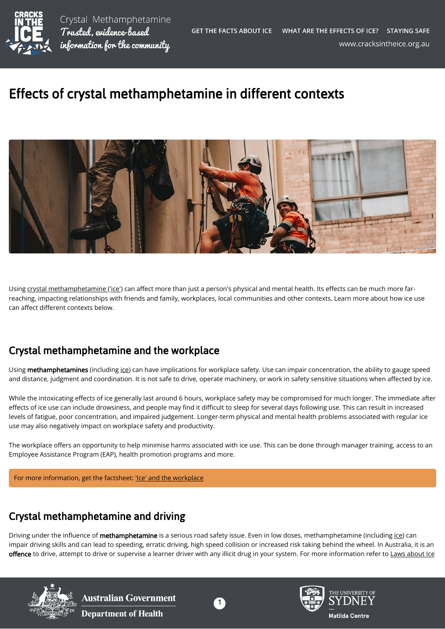

## Effects of crystal methamphetamine in different contexts



Using [crystal methamphetamine \('ice'\)](https://cracksintheice.org.au/what-is-ice) can affect more than just a person's physical and mental health. Its effects can be much more farreaching, impacting relationships with friends and family, workplaces, local communities and other contexts. Learn more about how ice use can affect different contexts below.

## Crystal methamphetamine and the workplace

Using methamphetamines (including [ice](https://cracksintheice.org.au/what-is-ice)) can have implications for workplace safety. Use can impair concentration, the ability to gauge speed and distance, judgment and coordination. It is not safe to drive, operate machinery, or work in safety sensitive situations when affected by ice.

While the intoxicating effects of ice generally last around 6 hours, workplace safety may be compromised for much longer. The immediate after effects of ice use can include drowsiness, and people may find it difficult to sleep for several days following use. This can result in increased levels of fatigue, poor concentration, and impaired judgement. Longer-term physical and mental health problems associated with regular ice use may also negatively impact on workplace safety and productivity.

The workplace offers an opportunity to help minimise harms associated with ice use. This can be done through manager training, access to an Employee Assistance Program (EAP), health promotion programs and more.

For more information, get the factsheet: ['Ice' and the workplace](https://nceta.flinders.edu.au/application/files/1816/0156/0327/EN593.pdf)

## Crystal methamphetamine and driving

Driving under the influence of methamphetamine is a serious road safety issue. Even in low doses, methamphetamine (including [ice](https://cracksintheice.org.au/what-is-ice)) can impair driving skills and can lead to speeding, erratic driving, high speed collision or increased risk taking behind the wheel. In Australia, it is an offence to drive, attempt to drive or supervise a learner driver with any illicit drug in your system. For more information refer to [Laws about Ice](https://cracksintheice.org.au/what-are-the-laws-about-ice)



**Australian Government Department of Health**